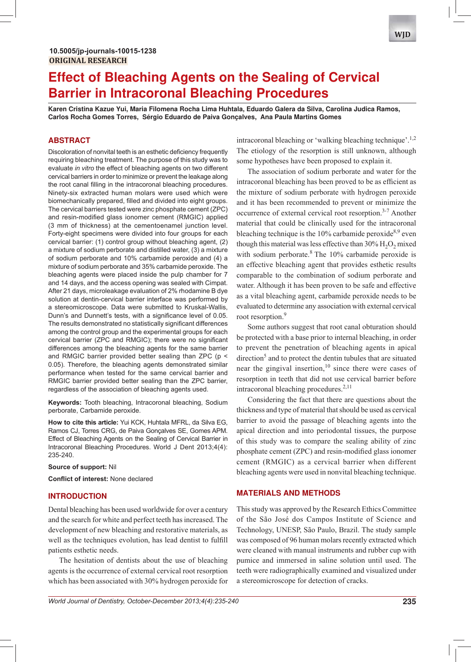# **Effect of Bleaching Agents on the Sealing of Cervical Barrier in Intracoronal Bleaching Procedures**

**Karen Cristina Kazue Yui, Maria Filomena Rocha Lima Huhtala, Eduardo Galera da Silva, Carolina Judica Ramos, Carlos Rocha Gomes Torres, Sérgio Eduardo de Paiva Gonçalves, Ana Paula Martins Gomes**

# **ABSTRACT**

Discoloration of nonvital teeth is an esthetic deficiency frequently requiring bleaching treatment. The purpose of this study was to evaluate in vitro the effect of bleaching agents on two different cervical barriers in order to minimize or prevent the leakage along the root canal filling in the intracoronal bleaching procedures. Ninety-six extracted human molars were used which were biomechanically prepared, filled and divided into eight groups. The cervical barriers tested were zinc phosphate cement (ZPC) and resin-modified glass ionomer cement (RMGIC) applied (3 mm of thickness) at the cementoenamel junction level. Forty-eight specimens were divided into four groups for each cervical barrier: (1) control group without bleaching agent, (2) a mixture of sodium perborate and distilled water, (3) a mixture of sodium perborate and 10% carbamide peroxide and (4) a mixture of sodium perborate and 35% carbamide peroxide. The bleaching agents were placed inside the pulp chamber for 7 and 14 days, and the access opening was sealed with Cimpat. After 21 days, microleakage evaluation of 2% rhodamine B dye solution at dentin-cervical barrier interface was performed by a stereomicroscope. Data were submitted to Kruskal-Wallis, Dunn's and Dunnett's tests, with a significance level of 0.05. The results demonstrated no statistically significant differences among the control group and the experimental groups for each cervical barrier (ZPC and RMGIC); there were no significant differences among the bleaching agents for the same barrier and RMGIC barrier provided better sealing than ZPC ( $p <$ 0.05). Therefore, the bleaching agents demonstrated similar performance when tested for the same cervical barrier and RMGIC barrier provided better sealing than the ZPC barrier, regardless of the association of bleaching agents used.

Keywords: Tooth bleaching, Intracoronal bleaching, Sodium perborate, Carbamide peroxide.

**How to cite this article:** Yui KCK, Huhtala MFRL, da Silva EG, Ramos CJ, Torres CRG, de Paiva Gonçalves SE, Gomes APM. Effect of Bleaching Agents on the Sealing of Cervical Barrier in Intracoronal Bleaching Procedures. World J Dent 2013;4(4): 235-240.

**Source of support:** Nil

**Conflict of interest: None declared** 

# **INTRODUCTION**

Dental bleaching has been used worldwide for over a century and the search for white and perfect teeth has increased. The development of new bleaching and restorative materials, as well as the techniques evolution, has lead dentist to fulfill patients esthetic needs.

The hesitation of dentists about the use of bleaching agents is the occurrence of external cervical root resorption which has been associated with 30% hydrogen peroxide for

intracoronal bleaching or 'walking bleaching technique'.<sup>1,2</sup> The etiology of the resorption is still unknown, although some hypotheses have been proposed to explain it.

The association of sodium perborate and water for the intracoronal bleaching has been proved to be as efficient as the mixture of sodium perborate with hydrogen peroxide and it has been recommended to prevent or minimize the occurrence of external cervical root resorption.<sup>3-7</sup> Another material that could be clinically used for the intracoronal bleaching technique is the 10% carbamide peroxide<sup>8,9</sup> even though this material was less effective than  $30\%$   $H_2O_2$  mixed with sodium perborate. $8$  The 10% carbamide peroxide is an effective bleaching agent that provides esthetic results comparable to the combination of sodium perborate and water. Although it has been proven to be safe and effective as a vital bleaching agent, carbamide peroxide needs to be evaluated to determine any association with external cervical root resorption.<sup>9</sup>

Some authors suggest that root canal obturation should be protected with a base prior to internal bleaching, in order to prevent the penetration of bleaching agents in apical direction<sup>5</sup> and to protect the dentin tubules that are situated near the gingival insertion,  $10$  since there were cases of resorption in teeth that did not use cervical barrier before intracoronal bleaching procedures.<sup>2,11</sup>

Considering the fact that there are questions about the thickness and type of material that should be used as cervical barrier to avoid the passage of bleaching agents into the apical direction and into periodontal tissues, the purpose of this study was to compare the sealing ability of zinc phosphate cement (ZPC) and resin-modified glass ionomer cement (RMGIC) as a cervical barrier when different bleaching agents were used in nonvital bleaching technique.

# **MATERIALS AND METHODS**

This study was approved by the Research Ethics Committee of the São José dos Campos Institute of Science and Technology, UNESP, São Paulo, Brazil. The study sample was composed of 96 human molars recently extracted which were cleaned with manual instruments and rubber cup with pumice and immersed in saline solution until used. The teeth were radiographically examined and visualized under a stereomicroscope for detection of cracks.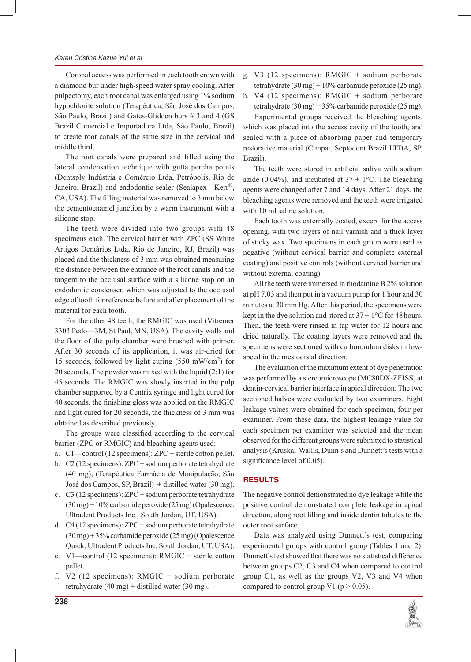# *Karen Cristina Kazue Yui et al*

Coronal access was performed in each tooth crown with a diamond bur under high-speed water spray cooling. After pulpectomy, each root canal was enlarged using 1% sodium hypochlorite solution (Terapêutica, São José dos Campos, São Paulo, Brazil) and Gates-Glidden burs # 3 and 4 (GS Brazil Comercial e Importadora Ltda, São Paulo, Brazil) to create root canals of the same size in the cervical and middle third.

The root canals were prepared and filled using the lateral condensation technique with gutta percha points (Dentsply Indústria e Comércio Ltda, Petrópolis, Rio de Janeiro, Brazil) and endodontic sealer (Sealapex-Kerr®, CA, USA). The filling material was removed to 3 mm below the cementoenamel junction by a warm instrument with a silicone stop.

The teeth were divided into two groups with 48 specimens each. The cervical barrier with ZPC (SS White Artigos Dentários Ltda, Rio de Janeiro, RJ, Brazil) was placed and the thickness of 3 mm was obtained measuring the distance between the entrance of the root canals and the tangent to the occlusal surface with a silicone stop on an endodontic condenser, which was adjusted to the occlusal edge of tooth for reference before and after placement of the material for each tooth.

For the other 48 teeth, the RMGIC was used (Vitremer 3303 Pedo—3M, St Paul, MN, USA). The cavity walls and the floor of the pulp chamber were brushed with primer. After 30 seconds of its application, it was air-dried for 15 seconds, followed by light curing (550 mW/cm<sup>2</sup> ) for 20 seconds. The powder was mixed with the liquid (2:1) for 45 seconds. The RMGIC was slowly inserted in the pulp chamber supported by a Centrix syringe and light cured for 40 seconds, the finishing gloss was applied on the RMGIC and light cured for 20 seconds, the thickness of 3 mm was obtained as described previously.

The groups were classified according to the cervical barrier (ZPC or RMGIC) and bleaching agents used:

- a. C1—control (12 specimens): ZPC + sterile cotton pellet.
- b. C2 (12 specimens): ZPC + sodium perborate tetrahydrate (40 mg), (Terapêutica Farmácia de Manipulação, São José dos Campos, SP, Brazil) + distilled water (30 mg).
- c. C3 (12 specimens): ZPC + sodium perborate tetrahydrate (30 mg) + 10% carbamide peroxide (25 mg) (Opalescence, Ultradent Products Inc., South Jordan, UT, USA).
- d. C4 (12 specimens): ZPC + sodium perborate tetrahydrate (30 mg) + 35% carbamide peroxide (25 mg) (Opalescence Quick, Ultradent Products Inc, South Jordan, UT, USA).
- e. V1—control (12 specimens): RMGIC + sterile cotton pellet.
- f. V2 (12 specimens): RMGIC + sodium perborate tetrahydrate (40 mg) + distilled water (30 mg).
- g. V3 (12 specimens): RMGIC + sodium perborate tetrahydrate (30 mg) + 10% carbamide peroxide (25 mg).
- h. V4 (12 specimens): RMGIC + sodium perborate tetrahydrate (30 mg) + 35% carbamide peroxide (25 mg).

Experimental groups received the bleaching agents, which was placed into the access cavity of the tooth, and sealed with a piece of absorbing paper and temporary restorative material (Cimpat, Septodont Brazil LTDA, SP, Brazil).

The teeth were stored in artificial saliva with sodium azide (0.04%), and incubated at  $37 \pm 1$ °C. The bleaching agents were changed after 7 and 14 days. After 21 days, the bleaching agents were removed and the teeth were irrigated with 10 ml saline solution.

Each tooth was externally coated, except for the access opening, with two layers of nail varnish and a thick layer of sticky wax. Two specimens in each group were used as negative (without cervical barrier and complete external coating) and positive controls (without cervical barrier and without external coating).

All the teeth were immersed in rhodamine B 2% solution at pH 7.03 and then put in a vacuum pump for 1 hour and 30 minutes at 20 mm Hg. After this period, the specimens were kept in the dye solution and stored at  $37 \pm 1$ °C for 48 hours. Then, the teeth were rinsed in tap water for 12 hours and dried naturally. The coating layers were removed and the specimens were sectioned with carborundum disks in lowspeed in the mesiodistal direction.

The evaluation of the maximum extent of dye penetration was performed by a stereomicroscope (MC80DX-ZEISS) at dentin-cervical barrier interface in apical direction. The two sectioned halves were evaluated by two examiners. Eight leakage values were obtained for each specimen, four per examiner. From these data, the highest leakage value for each specimen per examiner was selected and the mean observed for the different groups were submitted to statistical analysis (Kruskal-Wallis, Dunn's and Dunnett's tests with a significance level of  $0.05$ ).

# **RESULTS**

The negative control demonstrated no dye leakage while the positive control demonstrated complete leakage in apical direction, along root filling and inside dentin tubules to the outer root surface.

Data was analyzed using Dunnett's test, comparing experimental groups with control group (Tables 1 and 2). Dunnett's test showed that there was no statistical difference between groups C2, C3 and C4 when compared to control group C1, as well as the groups V2, V3 and V4 when compared to control group V1 ( $p > 0.05$ ).

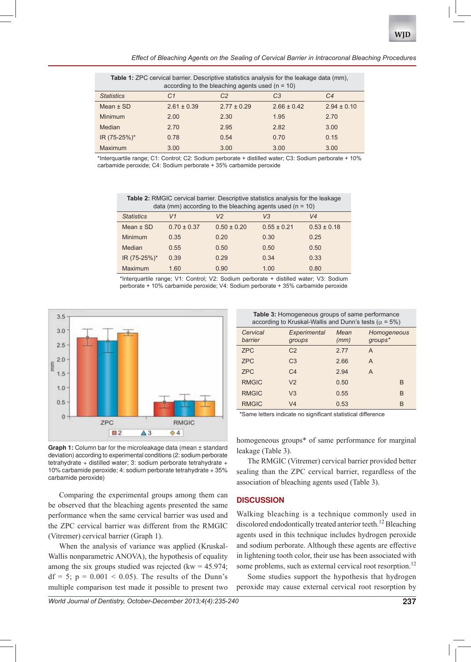*Effect of Bleaching Agents on the Sealing of Cervical Barrier in Intracoronal Bleaching Procedures*

| <b>Table 1:</b> ZPC cervical barrier. Descriptive statistics analysis for the leakage data (mm),<br>according to the bleaching agents used ( $n = 10$ ) |                 |                 |                 |                 |  |  |
|---------------------------------------------------------------------------------------------------------------------------------------------------------|-----------------|-----------------|-----------------|-----------------|--|--|
| <b>Statistics</b>                                                                                                                                       | C1              | C2              | CЗ              | C4              |  |  |
| Mean $\pm$ SD                                                                                                                                           | $2.61 \pm 0.39$ | $2.77 \pm 0.29$ | $2.66 \pm 0.42$ | $2.94 \pm 0.10$ |  |  |
| Minimum                                                                                                                                                 | 2.00            | 2.30            | 1.95            | 2.70            |  |  |
| Median                                                                                                                                                  | 2.70            | 2.95            | 2.82            | 3.00            |  |  |
| IR (75-25%)*                                                                                                                                            | 0.78            | 0.54            | 0.70            | 0.15            |  |  |
| Maximum                                                                                                                                                 | 3.00            | 3.00            | 3.00            | 3.00            |  |  |

\*Interquartile range; C1: Control; C2: Sodium perborate + distilled water; C3: Sodium perborate + 10% carbamide peroxide; C4: Sodium perborate + 35% carbamide peroxide

Table 2: RMGIC cervical barrier. Descriptive statistics analysis for the leakage data (mm) according to the bleaching agents used ( $n = 10$ )

| <b>Statistics</b> | V1              | V <sub>2</sub>  | V3              | V <sub>4</sub>  |
|-------------------|-----------------|-----------------|-----------------|-----------------|
| Mean $\pm$ SD     | $0.70 \pm 0.37$ | $0.50 \pm 0.20$ | $0.55 \pm 0.21$ | $0.53 \pm 0.18$ |
| Minimum           | 0.35            | 0.20            | 0.30            | 0.25            |
| Median            | 0.55            | 0.50            | 0.50            | 0.50            |
| IR (75-25%)*      | 0.39            | 0.29            | 0.34            | 0.33            |
| Maximum           | 1.60            | 0.90            | 1.00            | 0.80            |

\*Interguartile range; V1: Control; V2: Sodium perborate + distilled water; V3: Sodium perborate + 10% carbamide peroxide; V4: Sodium perborate + 35% carbamide peroxide



**Graph 1:** Column bar for the microleakage data (mean ± standard deviation) according to experimental conditions (2: sodium perborate tetrahydrate + distilled water; 3: sodium perborate tetrahydrate + 10% carbamide peroxide; 4: sodium perborate tetrahydrate + 35% carbamide peroxide)

Comparing the experimental groups among them can be observed that the bleaching agents presented the same performance when the same cervical barrier was used and the ZPC cervical barrier was different from the RMGIC (Vitremer) cervical barrier (Graph 1).

When the analysis of variance was applied (Kruskal-Wallis nonparametric ANOVA), the hypothesis of equality among the six groups studied was rejected (kw  $= 45.974$ ;  $df = 5$ ;  $p = 0.001 < 0.05$ ). The results of the Dunn's multiple comparison test made it possible to present two

Table 3: Homogeneous groups of same performance

| according to Kruskal-Wallis and Dunn's tests ( $\alpha$ = 5%) |                        |              |                        |  |  |  |
|---------------------------------------------------------------|------------------------|--------------|------------------------|--|--|--|
| Cervical<br>barrier                                           | Experimental<br>groups | Mean<br>(mm) | Homogeneous<br>groups* |  |  |  |
| <b>ZPC</b>                                                    | C <sub>2</sub>         | 2.77         | A                      |  |  |  |
| <b>ZPC</b>                                                    | C <sub>3</sub>         | 2.66         | A                      |  |  |  |
| <b>ZPC</b>                                                    | C <sub>4</sub>         | 2.94         | A                      |  |  |  |
| <b>RMGIC</b>                                                  | V <sub>2</sub>         | 0.50         | B                      |  |  |  |
| <b>RMGIC</b>                                                  | V <sub>3</sub>         | 0.55         | B                      |  |  |  |
| <b>RMGIC</b>                                                  | V <sub>4</sub>         | 0.53         | B                      |  |  |  |

\*Same letters indicate no significant statistical difference

homogeneous groups\* of same performance for marginal leakage (Table 3).

The RMGIC (Vitremer) cervical barrier provided better sealing than the ZPC cervical barrier, regardless of the association of bleaching agents used (Table 3).

## **DISCUSSION**

Walking bleaching is a technique commonly used in discolored endodontically treated anterior teeth.<sup>12</sup> Bleaching agents used in this technique includes hydrogen peroxide and sodium perborate. Although these agents are effective in lightening tooth color, their use has been associated with some problems, such as external cervical root resorption.<sup>12</sup>

Some studies support the hypothesis that hydrogen peroxide may cause external cervical root resorption by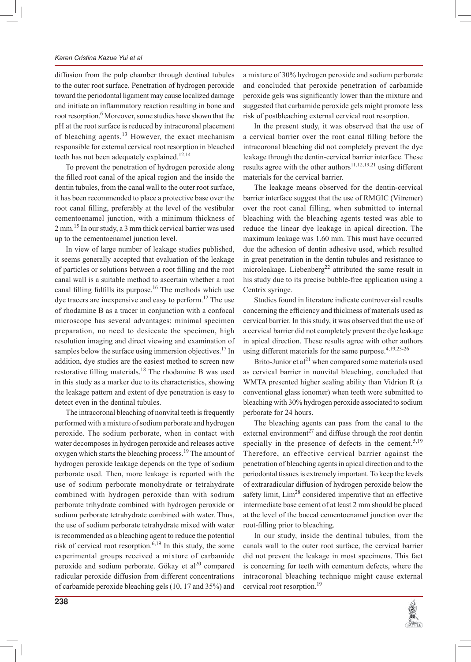# *Karen Cristina Kazue Yui et al*

diffusion from the pulp chamber through dentinal tubules to the outer root surface. Penetration of hydrogen peroxide toward the periodontal ligament may cause localized damage and initiate an inflammatory reaction resulting in bone and root resorption.<sup>6</sup> Moreover, some studies have shown that the pH at the root surface is reduced by intracoronal placement of bleaching agents.<sup>13</sup> However, the exact mechanism responsible for external cervical root resorption in bleached teeth has not been adequately explained.<sup>12,14</sup>

To prevent the penetration of hydrogen peroxide along the filled root canal of the apical region and the inside the dentin tubules, from the canal wall to the outer root surface, it has been recommended to place a protective base over the root canal filling, preferably at the level of the vestibular cementoenamel junction, with a minimum thickness of 2 mm.<sup>15</sup> In our study, a 3 mm thick cervical barrier was used up to the cementoenamel junction level.

In view of large number of leakage studies published, it seems generally accepted that evaluation of the leakage of particles or solutions between a root filling and the root canal wall is a suitable method to ascertain whether a root canal filling fulfills its purpose.<sup>16</sup> The methods which use dye tracers are inexpensive and easy to perform.<sup>12</sup> The use of rhodamine B as a tracer in conjunction with a confocal microscope has several advantages: minimal specimen preparation, no need to desiccate the specimen, high resolution imaging and direct viewing and examination of samples below the surface using immersion objectives.<sup>17</sup> In addition, dye studies are the easiest method to screen new restorative filling materials.<sup>18</sup> The rhodamine B was used in this study as a marker due to its characteristics, showing the leakage pattern and extent of dye penetration is easy to detect even in the dentinal tubules.

The intracoronal bleaching of nonvital teeth is frequently performed with a mixture of sodium perborate and hydrogen peroxide. The sodium perborate, when in contact with water decomposes in hydrogen peroxide and releases active oxygen which starts the bleaching process.<sup>19</sup> The amount of hydrogen peroxide leakage depends on the type of sodium perborate used. Then, more leakage is reported with the use of sodium perborate monohydrate or tetrahydrate combined with hydrogen peroxide than with sodium perborate trihydrate combined with hydrogen peroxide or sodium perborate tetrahydrate combined with water. Thus, the use of sodium perborate tetrahydrate mixed with water is recommended as a bleaching agent to reduce the potential risk of cervical root resorption.<sup>6,19</sup> In this study, the some experimental groups received a mixture of carbamide peroxide and sodium perborate. Gökay et  $al^{20}$  compared radicular peroxide diffusion from different concentrations of carbamide peroxide bleaching gels (10, 17 and 35%) and a mixture of 30% hydrogen peroxide and sodium perborate and concluded that peroxide penetration of carbamide peroxide gels was significantly lower than the mixture and suggested that carbamide peroxide gels might promote less risk of postbleaching external cervical root resorption.

In the present study, it was observed that the use of a cervical barrier over the root canal filling before the intracoronal bleaching did not completely prevent the dye leakage through the dentin-cervical barrier interface. These results agree with the other authors<sup>11,12,19,21</sup> using different materials for the cervical barrier.

The leakage means observed for the dentin-cervical barrier interface suggest that the use of RMGIC (Vitremer) over the root canal filling, when submitted to internal bleaching with the bleaching agents tested was able to reduce the linear dye leakage in apical direction. The maximum leakage was 1.60 mm. This must have occurred due the adhesion of dentin adhesive used, which resulted in great penetration in the dentin tubules and resistance to microleakage. Liebenberg<sup>22</sup> attributed the same result in his study due to its precise bubble-free application using a Centrix syringe.

Studies found in literature indicate controversial results concerning the efficiency and thickness of materials used as cervical barrier. In this study, it was observed that the use of a cervical barrier did not completely prevent the dye leakage in apical direction. These results agree with other authors using different materials for the same purpose.<sup>4,19,23-26</sup>

Brito-Junior et  $al<sup>21</sup>$  when compared some materials used as cervical barrier in nonvital bleaching, concluded that WMTA presented higher sealing ability than Vidrion R (a conventional glass ionomer) when teeth were submitted to bleaching with 30% hydrogen peroxide associated to sodium perborate for 24 hours.

The bleaching agents can pass from the canal to the external environment<sup>27</sup> and diffuse through the root dentin specially in the presence of defects in the cement.<sup>5,19</sup> Therefore, an effective cervical barrier against the penetration of bleaching agents in apical direction and to the periodontal tissues is extremely important. To keep the levels of extraradicular diffusion of hydrogen peroxide below the safety limit, Lim<sup>28</sup> considered imperative that an effective intermediate base cement of at least 2 mm should be placed at the level of the buccal cementoenamel junction over the root-filling prior to bleaching.

In our study, inside the dentinal tubules, from the canals wall to the outer root surface, the cervical barrier did not prevent the leakage in most specimens. This fact is concerning for teeth with cementum defects, where the intracoronal bleaching technique might cause external cervical root resorption.<sup>19</sup>

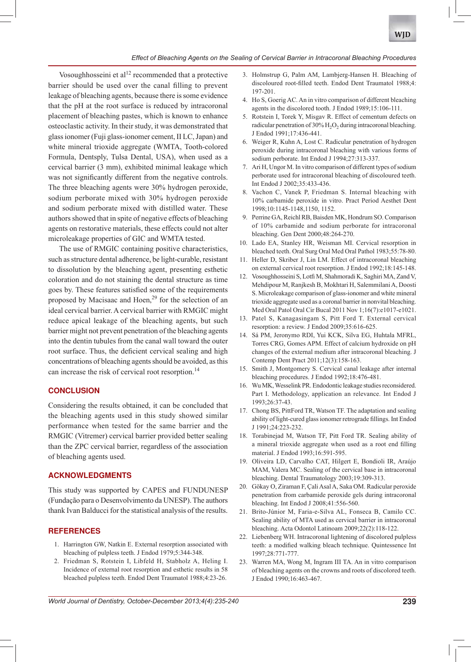

# *Effect of Bleaching Agents on the Sealing of Cervical Barrier in Intracoronal Bleaching Procedures*

Vosoughhosseini et al<sup>12</sup> recommended that a protective barrier should be used over the canal filling to prevent leakage of bleaching agents, because there is some evidence that the pH at the root surface is reduced by intracoronal placement of bleaching pastes, which is known to enhance osteoclastic activity. In their study, it was demonstrated that glass ionomer (Fuji glass-ionomer cement, II LC, Japan) and white mineral trioxide aggregate (WMTA, Tooth-colored Formula, Dentsply, Tulsa Dental, USA), when used as a cervical barrier (3 mm), exhibited minimal leakage which was not significantly different from the negative controls. The three bleaching agents were 30% hydrogen peroxide, sodium perborate mixed with 30% hydrogen peroxide and sodium perborate mixed with distilled water. These authors showed that in spite of negative effects of bleaching agents on restorative materials, these effects could not alter microleakage properties of GIC and WMTA tested.

The use of RMGIC containing positive characteristics, such as structure dental adherence, be light-curable, resistant to dissolution by the bleaching agent, presenting esthetic coloration and do not staining the dental structure as time goes by. These features satisfied some of the requirements proposed by Macisaac and Hoen,<sup>29</sup> for the selection of an ideal cervical barrier. A cervical barrier with RMGIC might reduce apical leakage of the bleaching agents, but such barrier might not prevent penetration of the bleaching agents into the dentin tubules from the canal wall toward the outer root surface. Thus, the deficient cervical sealing and high concentrations of bleaching agents should be avoided, as this can increase the risk of cervical root resorption.<sup>14</sup>

# **CONCLUSION**

Considering the results obtained, it can be concluded that the bleaching agents used in this study showed similar performance when tested for the same barrier and the RMGIC (Vitremer) cervical barrier provided better sealing than the ZPC cervical barrier, regardless of the association of bleaching agents used.

# **ACKNOWLEDGMENTS**

This study was supported by CAPES and FUNDUNESP (Fundação para o Desenvolvimento da UNESP). The authors thank Ivan Balducci for the statistical analysis of the results.

#### **REFERENCES**

- 1. Harrington GW, Natkin E. External resorption associated with bleaching of pulpless teeth. J Endod 1979;5:344-348.
- 2. Friedman S, Rotstein I, Libfeld H, Stabholz A, Heling I. Incidence of external root resorption and esthetic results in 58 bleached pulpless teeth. Endod Dent Traumatol 1988;4:23-26.
- 3. Holmstrup G, Palm AM, Lambjerg-Hansen H. Bleaching of discoloured root-filled teeth. Endod Dent Traumatol 1988;4: 197-201.
- 4. Ho S, Goerig AC. An in vitro comparison of different bleaching agents in the discolored tooth. J Endod 1989;15:106-111.
- 5. Rotstein I, Torek Y, Misgav R. Effect of cementum defects on radicular penetration of  $30\%$  H<sub>2</sub>O<sub>2</sub> during intracoronal bleaching. J Endod 1991;17:436-441.
- 6. Weiger R, Kuhn A, Lost C. Radicular penetration of hydrogen peroxide during intracoronal bleaching with various forms of sodium perborate. Int Endod J 1994;27:313-337.
- 7. Ari H, Ungor M. In vitro comparison of different types of sodium perborate used for intracoronal bleaching of discoloured teeth. Int Endod J 2002;35:433-436.
- 8. Vachon C, Vanek P, Friedman S. Internal bleaching with 10% carbamide peroxide in vitro. Pract Period Aesthet Dent 1998;10:1145-1148,1150, 1152.
- 9. Perrine GA, Reichl RB, Baisden MK, Hondrum SO. Comparison of 10% carbamide and sodium perborate for intracoronal bleaching. Gen Dent 2000;48:264-270.
- 10. Lado EA, Stanley HR, Weisman MI. Cervical resorption in bleached teeth. Oral Surg Oral Med Oral Pathol 1983;55:78-80.
- 11. Heller D, Skriber J, Lin LM. Effect of intracoronal bleaching on external cervical root resorption. J Endod 1992;18:145-148.
- 12. Vosoughhosseini S, Lotfi M, Shahmoradi K, Saghiri MA, Zand V, Mehdipour M, Ranjkesh B, Mokhtari H, Salemmilani A, Doosti S. Microleakage comparison of glass-ionomer and white mineral trioxide aggregate used as a coronal barrier in nonvital bleaching. Med Oral Patol Oral Cir Bucal 2011 Nov 1;16(7):e1017-e1021.
- 13. Patel S, Kanagasingam S, Pitt Ford T. External cervical resorption: a review. J Endod 2009;35:616-625.
- 14. Sá PM, Jeronymo RDI, Yui KCK, Silva EG, Huhtala MFRL, Torres CRG, Gomes APM. Effect of calcium hydroxide on pH changes of the external medium after intracoronal bleaching. J Contemp Dent Pract 2011;12(3):158-163.
- 15. Smith J, Montgomery S. Cervical canal leakage after internal bleaching procedures. J Endod 1992;18:476-481.
- 16. Wu MK, Wesselink PR. Endodontic leakage studies reconsidered. Part I. Methodology, application an relevance. Int Endod J 1993;26:37-43.
- 17. Chong BS, PittFord TR, Watson TF. The adaptation and sealing ability of light-cured glass ionomer retrograde fillings. Int Endod J 1991;24:223-232.
- 18. Torabinejad M, Watson TF, Pitt Ford TR. Sealing ability of a mineral trioxide aggregate when used as a root end filling material. J Endod 1993;16:591-595.
- 19. Oliveira LD, Carvalho CAT, Hilgert E, Bondioli IR, Araújo MAM, Valera MC. Sealing of the cervical base in intracoronal bleaching. Dental Traumatology 2003;19:309-313.
- 20. Gökay O, Ziraman F, Çali Asal A, Saka OM. Radicular peroxide penetration from carbamide peroxide gels during intracoronal bleaching. Int Endod J 2008;41:556-560.
- 21. Brito-Júnior M, Faria-e-Silva AL, Fonseca B, Camilo CC. Sealing ability of MTA used as cervical barrier in intracoronal bleaching. Acta Odontol Latinoam 2009;22(2):118-122.
- 22. Liebenberg WH. Intracoronal lightening of discolored pulpless teeth: a modified walking bleach technique. Quintessence Int 1997;28:771-777.
- 23. Warren MA, Wong M, Ingram III TA. An in vitro comparison of bleaching agents on the crowns and roots of discolored teeth. J Endod 1990;16:463-467.